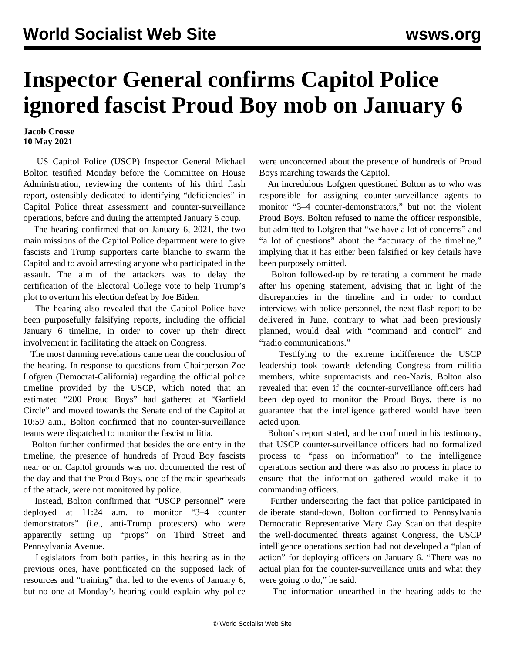## **Inspector General confirms Capitol Police ignored fascist Proud Boy mob on January 6**

## **Jacob Crosse 10 May 2021**

 US Capitol Police (USCP) Inspector General Michael Bolton testified Monday before the Committee on House Administration, reviewing the contents of his third [flash](https://docs.house.gov/meetings/HA/HA00/20210510/112587/HHRG-117-HA00-20210510-SD002.pdf) [report,](https://docs.house.gov/meetings/HA/HA00/20210510/112587/HHRG-117-HA00-20210510-SD002.pdf) ostensibly dedicated to identifying "deficiencies" in Capitol Police threat assessment and counter-surveillance operations, before and during the attempted January 6 coup.

 The hearing confirmed that on January 6, 2021, the two main missions of the Capitol Police department were to give fascists and Trump supporters carte blanche to swarm the Capitol and to avoid arresting anyone who participated in the assault. The aim of the attackers was to delay the certification of the Electoral College vote to help Trump's plot to overturn his election defeat by Joe Biden.

 The hearing also revealed that the Capitol Police have been purposefully falsifying reports, including the official January 6 timeline, in order to cover up their direct involvement in facilitating the attack on Congress.

 The most damning revelations came near the conclusion of the hearing. In response to questions from Chairperson Zoe Lofgren (Democrat-California) regarding the official police timeline provided by the USCP, which noted that an estimated "200 Proud Boys" had gathered at "Garfield Circle" and moved towards the Senate end of the Capitol at 10:59 a.m., Bolton confirmed that no counter-surveillance teams were dispatched to monitor the fascist militia.

 Bolton further confirmed that besides the one entry in the timeline, the presence of hundreds of Proud Boy fascists near or on Capitol grounds was not documented the rest of the day and that the Proud Boys, one of the main spearheads of the attack, were not monitored by police.

 Instead, Bolton confirmed that "USCP personnel" were deployed at 11:24 a.m. to monitor "3–4 counter demonstrators" (i.e., anti-Trump protesters) who were apparently setting up "props" on Third Street and Pennsylvania Avenue.

 Legislators from both parties, in this hearing as in the previous ones, have pontificated on the supposed lack of resources and "training" that led to the events of January 6, but no one at Monday's hearing could explain why police were unconcerned about the presence of hundreds of Proud Boys marching towards the Capitol.

 An incredulous Lofgren questioned Bolton as to who was responsible for assigning counter-surveillance agents to monitor "3–4 counter-demonstrators," but not the violent Proud Boys. Bolton refused to name the officer responsible, but admitted to Lofgren that "we have a lot of concerns" and "a lot of questions" about the "accuracy of the timeline," implying that it has either been falsified or key details have been purposely omitted.

 Bolton followed-up by reiterating a comment he made after his opening statement, advising that in light of the discrepancies in the timeline and in order to conduct interviews with police personnel, the next flash report to be delivered in June, contrary to what had been previously planned, would deal with "command and control" and "radio communications."

 Testifying to the extreme indifference the USCP leadership took towards defending Congress from militia members, white supremacists and neo-Nazis, Bolton also revealed that even if the counter-surveillance officers had been deployed to monitor the Proud Boys, there is no guarantee that the intelligence gathered would have been acted upon.

 Bolton's report stated, and he confirmed in his testimony, that USCP counter-surveillance officers had no formalized process to "pass on information" to the intelligence operations section and there was also no process in place to ensure that the information gathered would make it to commanding officers.

 Further underscoring the fact that police participated in deliberate stand-down, Bolton confirmed to Pennsylvania Democratic Representative Mary Gay Scanlon that despite the well-documented threats against Congress, the USCP intelligence operations section had not developed a "plan of action" for deploying officers on January 6. "There was no actual plan for the counter-surveillance units and what they were going to do," he said.

The information unearthed in the hearing adds to the